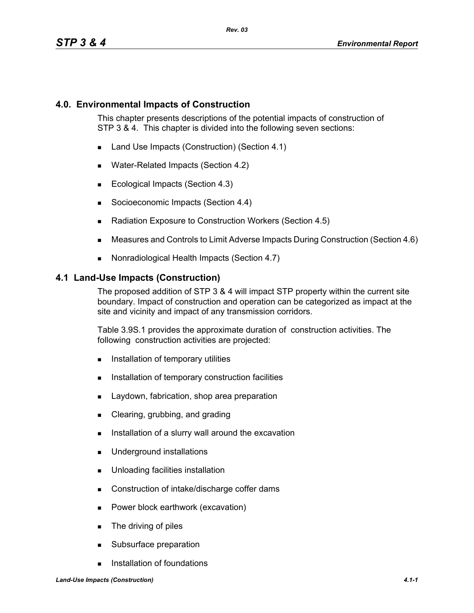## **4.0. Environmental Impacts of Construction**

This chapter presents descriptions of the potential impacts of construction of STP 3 & 4. This chapter is divided into the following seven sections:

- Land Use Impacts (Construction) (Section 4.1)
- **Water-Related Impacts (Section 4.2)**
- Ecological Impacts (Section 4.3)
- Socioeconomic Impacts (Section 4.4)
- Radiation Exposure to Construction Workers (Section 4.5)
- Measures and Controls to Limit Adverse Impacts During Construction (Section 4.6)
- Nonradiological Health Impacts (Section 4.7)

#### **4.1 Land-Use Impacts (Construction)**

The proposed addition of STP 3 & 4 will impact STP property within the current site boundary. Impact of construction and operation can be categorized as impact at the site and vicinity and impact of any transmission corridors.

Table 3.9S.1 provides the approximate duration of construction activities. The following construction activities are projected:

- **Installation of temporary utilities**
- **Installation of temporary construction facilities**
- **Laydown, fabrication, shop area preparation**
- **Clearing, grubbing, and grading**
- **I.** Installation of a slurry wall around the excavation
- **Underground installations**
- **Unloading facilities installation**
- Construction of intake/discharge coffer dams
- **Power block earthwork (excavation)**
- **The driving of piles**
- **Subsurface preparation**
- **Installation of foundations**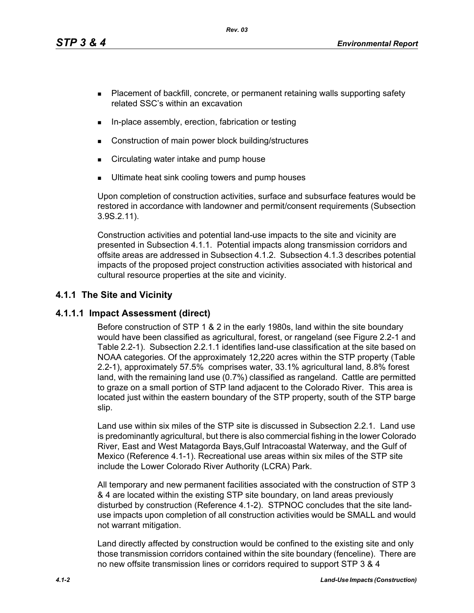*Rev. 03*

- **Placement of backfill, concrete, or permanent retaining walls supporting safety** related SSC's within an excavation
- In-place assembly, erection, fabrication or testing
- Construction of main power block building/structures
- **EXECT** Circulating water intake and pump house
- Ultimate heat sink cooling towers and pump houses

Upon completion of construction activities, surface and subsurface features would be restored in accordance with landowner and permit/consent requirements (Subsection 3.9S.2.11).

Construction activities and potential land-use impacts to the site and vicinity are presented in Subsection 4.1.1. Potential impacts along transmission corridors and offsite areas are addressed in Subsection 4.1.2. Subsection 4.1.3 describes potential impacts of the proposed project construction activities associated with historical and cultural resource properties at the site and vicinity.

## **4.1.1 The Site and Vicinity**

## **4.1.1.1 Impact Assessment (direct)**

Before construction of STP 1 & 2 in the early 1980s, land within the site boundary would have been classified as agricultural, forest, or rangeland (see Figure 2.2-1 and Table 2.2-1). Subsection 2.2.1.1 identifies land-use classification at the site based on NOAA categories. Of the approximately 12,220 acres within the STP property (Table 2.2-1), approximately 57.5% comprises water, 33.1% agricultural land, 8.8% forest land, with the remaining land use (0.7%) classified as rangeland. Cattle are permitted to graze on a small portion of STP land adjacent to the Colorado River. This area is located just within the eastern boundary of the STP property, south of the STP barge slip.

Land use within six miles of the STP site is discussed in Subsection 2.2.1. Land use is predominantly agricultural, but there is also commercial fishing in the lower Colorado River, East and West Matagorda Bays,Gulf Intracoastal Waterway, and the Gulf of Mexico (Reference 4.1-1). Recreational use areas within six miles of the STP site include the Lower Colorado River Authority (LCRA) Park.

All temporary and new permanent facilities associated with the construction of STP 3 & 4 are located within the existing STP site boundary, on land areas previously disturbed by construction (Reference 4.1-2). STPNOC concludes that the site landuse impacts upon completion of all construction activities would be SMALL and would not warrant mitigation.

Land directly affected by construction would be confined to the existing site and only those transmission corridors contained within the site boundary (fenceline). There are no new offsite transmission lines or corridors required to support STP 3 & 4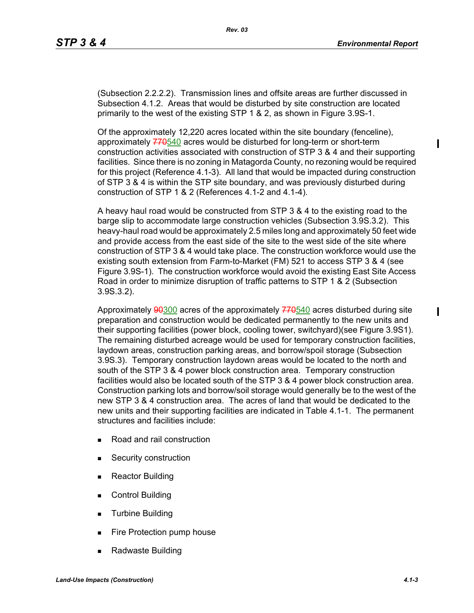(Subsection 2.2.2.2). Transmission lines and offsite areas are further discussed in Subsection 4.1.2. Areas that would be disturbed by site construction are located primarily to the west of the existing STP 1 & 2, as shown in Figure 3.9S-1.

Of the approximately 12,220 acres located within the site boundary (fenceline), approximately  $770540$  acres would be disturbed for long-term or short-term construction activities associated with construction of STP 3 & 4 and their supporting facilities. Since there is no zoning in Matagorda County, no rezoning would be required for this project (Reference 4.1-3). All land that would be impacted during construction of STP 3 & 4 is within the STP site boundary, and was previously disturbed during construction of STP 1 & 2 (References 4.1-2 and 4.1-4).

A heavy haul road would be constructed from STP 3 & 4 to the existing road to the barge slip to accommodate large construction vehicles (Subsection 3.9S.3.2). This heavy-haul road would be approximately 2.5 miles long and approximately 50 feet wide and provide access from the east side of the site to the west side of the site where construction of STP 3 & 4 would take place. The construction workforce would use the existing south extension from Farm-to-Market (FM) 521 to access STP 3 & 4 (see Figure 3.9S-1). The construction workforce would avoid the existing East Site Access Road in order to minimize disruption of traffic patterns to STP 1 & 2 (Subsection 3.9S.3.2).

Approximately 90300 acres of the approximately 770540 acres disturbed during site preparation and construction would be dedicated permanently to the new units and their supporting facilities (power block, cooling tower, switchyard)(see Figure 3.9S1). The remaining disturbed acreage would be used for temporary construction facilities, laydown areas, construction parking areas, and borrow/spoil storage (Subsection 3.9S.3). Temporary construction laydown areas would be located to the north and south of the STP 3 & 4 power block construction area. Temporary construction facilities would also be located south of the STP 3 & 4 power block construction area. Construction parking lots and borrow/soil storage would generally be to the west of the new STP 3 & 4 construction area. The acres of land that would be dedicated to the new units and their supporting facilities are indicated in Table 4.1-1. The permanent structures and facilities include:

- Road and rail construction
- **Security construction**
- **Reactor Building**
- Control Building
- **Turbine Building**
- Fire Protection pump house
- Radwaste Building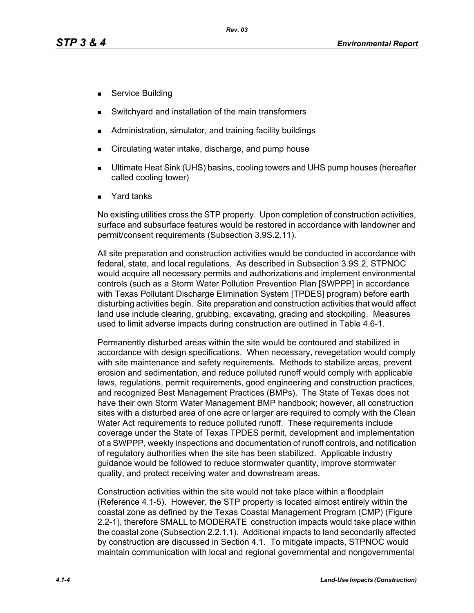- Service Building
- Switchyard and installation of the main transformers
- Administration, simulator, and training facility buildings
- Circulating water intake, discharge, and pump house
- Ultimate Heat Sink (UHS) basins, cooling towers and UHS pump houses (hereafter called cooling tower)
- Yard tanks

No existing utilities cross the STP property. Upon completion of construction activities, surface and subsurface features would be restored in accordance with landowner and permit/consent requirements (Subsection 3.9S.2.11).

All site preparation and construction activities would be conducted in accordance with federal, state, and local regulations. As described in Subsection 3.9S.2, STPNOC would acquire all necessary permits and authorizations and implement environmental controls (such as a Storm Water Pollution Prevention Plan [SWPPP] in accordance with Texas Pollutant Discharge Elimination System [TPDES] program) before earth disturbing activities begin. Site preparation and construction activities that would affect land use include clearing, grubbing, excavating, grading and stockpiling. Measures used to limit adverse impacts during construction are outlined in Table 4.6-1.

Permanently disturbed areas within the site would be contoured and stabilized in accordance with design specifications. When necessary, revegetation would comply with site maintenance and safety requirements. Methods to stabilize areas, prevent erosion and sedimentation, and reduce polluted runoff would comply with applicable laws, regulations, permit requirements, good engineering and construction practices, and recognized Best Management Practices (BMPs). The State of Texas does not have their own Storm Water Management BMP handbook; however, all construction sites with a disturbed area of one acre or larger are required to comply with the Clean Water Act requirements to reduce polluted runoff. These requirements include coverage under the State of Texas TPDES permit, development and implementation of a SWPPP, weekly inspections and documentation of runoff controls, and notification of regulatory authorities when the site has been stabilized. Applicable industry guidance would be followed to reduce stormwater quantity, improve stormwater quality, and protect receiving water and downstream areas.

Construction activities within the site would not take place within a floodplain (Reference 4.1-5). However, the STP property is located almost entirely within the coastal zone as defined by the Texas Coastal Management Program (CMP) (Figure 2.2-1), therefore SMALL to MODERATE construction impacts would take place within the coastal zone (Subsection 2.2.1.1). Additional impacts to land secondarily affected by construction are discussed in Section 4.1. To mitigate impacts, STPNOC would maintain communication with local and regional governmental and nongovernmental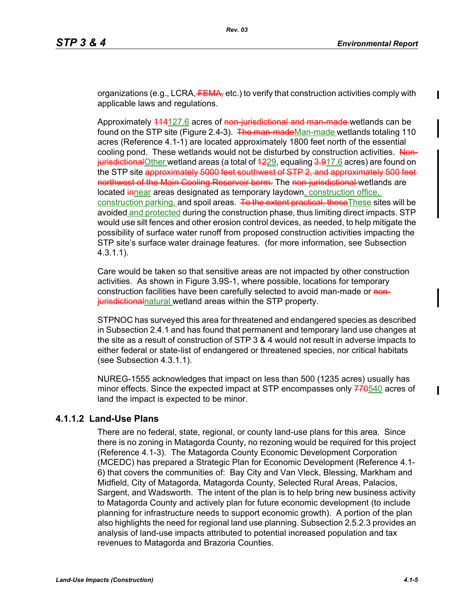organizations (e.g., LCRA, FEMA, etc.) to verify that construction activities comply with applicable laws and regulations.

Approximately 114127.6 acres of non-jurisdictional and man-made wetlands can be found on the STP site (Figure 2.4-3). The man-madeMan-made wetlands totaling 110 acres (Reference 4.1-1) are located approximately 1800 feet north of the essential cooling pond. These wetlands would not be disturbed by construction activities. Non $j$ urisdictional Other wetland areas (a total of  $4229$ , equaling  $3.917.6$  acres) are found on the STP site approximately 5000 feet southwest of STP 2, and approximately 500 feet northwest of the Main Cooling Reservoir berm. The non-jurisdictional wetlands are located innear areas designated as temporary laydown, construction office, construction parking, and spoil areas. To the extent practical, these These sites will be avoided and protected during the construction phase, thus limiting direct impacts. STP would use silt fences and other erosion control devices, as needed, to help mitigate the possibility of surface water runoff from proposed construction activities impacting the STP site's surface water drainage features. (for more information, see Subsection 4.3.1.1).

Care would be taken so that sensitive areas are not impacted by other construction activities. As shown in Figure 3.9S-1, where possible, locations for temporary construction facilities have been carefully selected to avoid man-made or nonjurisdictionalnatural wetland areas within the STP property.

STPNOC has surveyed this area for threatened and endangered species as described in Subsection 2.4.1 and has found that permanent and temporary land use changes at the site as a result of construction of STP 3 & 4 would not result in adverse impacts to either federal or state-list of endangered or threatened species, nor critical habitats (see Subsection 4.3.1.1).

NUREG-1555 acknowledges that impact on less than 500 (1235 acres) usually has minor effects. Since the expected impact at STP encompasses only 770540 acres of land the impact is expected to be minor.

## **4.1.1.2 Land-Use Plans**

There are no federal, state, regional, or county land-use plans for this area. Since there is no zoning in Matagorda County, no rezoning would be required for this project (Reference 4.1-3). The Matagorda County Economic Development Corporation (MCEDC) has prepared a Strategic Plan for Economic Development (Reference 4.1- 6) that covers the communities of: Bay City and Van Vleck, Blessing, Markham and Midfield, City of Matagorda, Matagorda County, Selected Rural Areas, Palacios, Sargent, and Wadsworth. The intent of the plan is to help bring new business activity to Matagorda County and actively plan for future economic development (to include planning for infrastructure needs to support economic growth). A portion of the plan also highlights the need for regional land use planning. Subsection 2.5.2.3 provides an analysis of land-use impacts attributed to potential increased population and tax revenues to Matagorda and Brazoria Counties.

I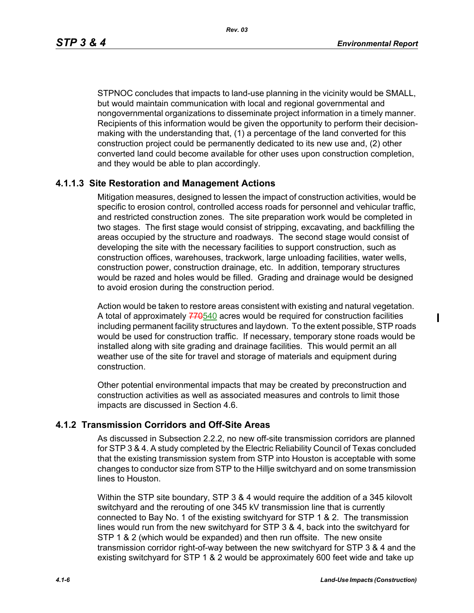*Rev. 03*

ı

STPNOC concludes that impacts to land-use planning in the vicinity would be SMALL, but would maintain communication with local and regional governmental and nongovernmental organizations to disseminate project information in a timely manner. Recipients of this information would be given the opportunity to perform their decisionmaking with the understanding that, (1) a percentage of the land converted for this construction project could be permanently dedicated to its new use and, (2) other converted land could become available for other uses upon construction completion, and they would be able to plan accordingly.

## **4.1.1.3 Site Restoration and Management Actions**

Mitigation measures, designed to lessen the impact of construction activities, would be specific to erosion control, controlled access roads for personnel and vehicular traffic, and restricted construction zones. The site preparation work would be completed in two stages. The first stage would consist of stripping, excavating, and backfilling the areas occupied by the structure and roadways. The second stage would consist of developing the site with the necessary facilities to support construction, such as construction offices, warehouses, trackwork, large unloading facilities, water wells, construction power, construction drainage, etc. In addition, temporary structures would be razed and holes would be filled. Grading and drainage would be designed to avoid erosion during the construction period.

Action would be taken to restore areas consistent with existing and natural vegetation. A total of approximately  $770540$  acres would be required for construction facilities including permanent facility structures and laydown. To the extent possible, STP roads would be used for construction traffic. If necessary, temporary stone roads would be installed along with site grading and drainage facilities. This would permit an all weather use of the site for travel and storage of materials and equipment during construction.

Other potential environmental impacts that may be created by preconstruction and construction activities as well as associated measures and controls to limit those impacts are discussed in Section 4.6.

## **4.1.2 Transmission Corridors and Off-Site Areas**

As discussed in Subsection 2.2.2, no new off-site transmission corridors are planned for STP 3 & 4. A study completed by the Electric Reliability Council of Texas concluded that the existing transmission system from STP into Houston is acceptable with some changes to conductor size from STP to the Hillje switchyard and on some transmission lines to Houston.

Within the STP site boundary, STP 3 & 4 would require the addition of a 345 kilovolt switchyard and the rerouting of one 345 kV transmission line that is currently connected to Bay No. 1 of the existing switchyard for STP 1 & 2. The transmission lines would run from the new switchyard for STP 3 & 4, back into the switchyard for STP 1 & 2 (which would be expanded) and then run offsite. The new onsite transmission corridor right-of-way between the new switchyard for STP 3 & 4 and the existing switchyard for STP 1 & 2 would be approximately 600 feet wide and take up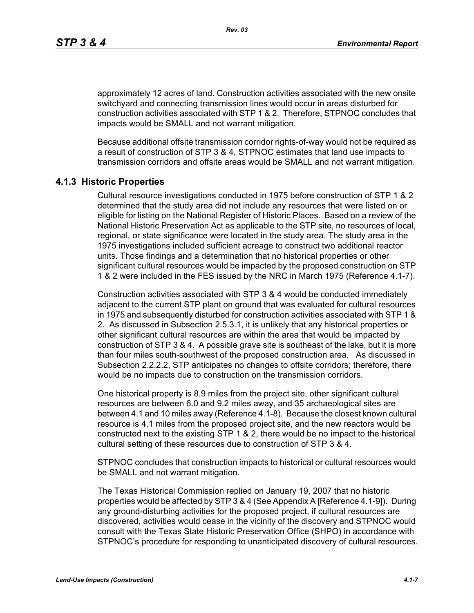approximately 12 acres of land. Construction activities associated with the new onsite switchyard and connecting transmission lines would occur in areas disturbed for construction activities associated with STP 1 & 2. Therefore, STPNOC concludes that impacts would be SMALL and not warrant mitigation.

Because additional offsite transmission corridor rights-of-way would not be required as a result of construction of STP 3 & 4, STPNOC estimates that land use impacts to transmission corridors and offsite areas would be SMALL and not warrant mitigation.

#### **4.1.3 Historic Properties**

Cultural resource investigations conducted in 1975 before construction of STP 1 & 2 determined that the study area did not include any resources that were listed on or eligible for listing on the National Register of Historic Places. Based on a review of the National Historic Preservation Act as applicable to the STP site, no resources of local, regional, or state significance were located in the study area. The study area in the 1975 investigations included sufficient acreage to construct two additional reactor units. Those findings and a determination that no historical properties or other significant cultural resources would be impacted by the proposed construction on STP 1 & 2 were included in the FES issued by the NRC in March 1975 (Reference 4.1-7).

Construction activities associated with STP 3 & 4 would be conducted immediately adjacent to the current STP plant on ground that was evaluated for cultural resources in 1975 and subsequently disturbed for construction activities associated with STP 1 & 2. As discussed in Subsection 2.5.3.1, it is unlikely that any historical properties or other significant cultural resources are within the area that would be impacted by construction of STP 3 & 4. A possible grave site is southeast of the lake, but it is more than four miles south-southwest of the proposed construction area. As discussed in Subsection 2.2.2.2, STP anticipates no changes to offsite corridors; therefore, there would be no impacts due to construction on the transmission corridors.

One historical property is 8.9 miles from the project site, other significant cultural resources are between 6.0 and 9.2 miles away, and 35 archaeological sites are between 4.1 and 10 miles away (Reference 4.1-8). Because the closest known cultural resource is 4.1 miles from the proposed project site, and the new reactors would be constructed next to the existing STP 1 & 2, there would be no impact to the historical cultural setting of these resources due to construction of STP 3 & 4.

STPNOC concludes that construction impacts to historical or cultural resources would be SMALL and not warrant mitigation.

The Texas Historical Commission replied on January 19, 2007 that no historic properties would be affected by STP 3 & 4 (See Appendix A [Reference 4.1-9]). During any ground-disturbing activities for the proposed project, if cultural resources are discovered, activities would cease in the vicinity of the discovery and STPNOC would consult with the Texas State Historic Preservation Office (SHPO) in accordance with STPNOC's procedure for responding to unanticipated discovery of cultural resources.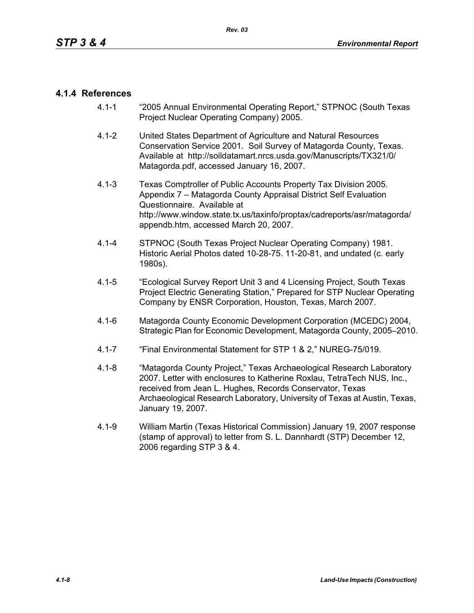## **4.1.4 References**

- 4.1-1 "2005 Annual Environmental Operating Report," STPNOC (South Texas Project Nuclear Operating Company) 2005.
- 4.1-2 United States Department of Agriculture and Natural Resources Conservation Service 2001. Soil Survey of Matagorda County, Texas. Available at http://soildatamart.nrcs.usda.gov/Manuscripts/TX321/0/ Matagorda.pdf, accessed January 16, 2007.
- 4.1-3 Texas Comptroller of Public Accounts Property Tax Division 2005. Appendix 7 – Matagorda County Appraisal District Self Evaluation Questionnaire. Available at http://www.window.state.tx.us/taxinfo/proptax/cadreports/asr/matagorda/ appendb.htm, accessed March 20, 2007.
- 4.1-4 STPNOC (South Texas Project Nuclear Operating Company) 1981. Historic Aerial Photos dated 10-28-75. 11-20-81, and undated (c. early 1980s).
- 4.1-5 "Ecological Survey Report Unit 3 and 4 Licensing Project, South Texas Project Electric Generating Station," Prepared for STP Nuclear Operating Company by ENSR Corporation, Houston, Texas, March 2007.
- 4.1-6 Matagorda County Economic Development Corporation (MCEDC) 2004, Strategic Plan for Economic Development, Matagorda County, 2005–2010.
- 4.1-7 "Final Environmental Statement for STP 1 & 2," NUREG-75/019.
- 4.1-8 "Matagorda County Project," Texas Archaeological Research Laboratory 2007. Letter with enclosures to Katherine Roxlau, TetraTech NUS, Inc., received from Jean L. Hughes, Records Conservator, Texas Archaeological Research Laboratory, University of Texas at Austin, Texas, January 19, 2007.
- 4.1-9 William Martin (Texas Historical Commission) January 19, 2007 response (stamp of approval) to letter from S. L. Dannhardt (STP) December 12, 2006 regarding STP 3 & 4.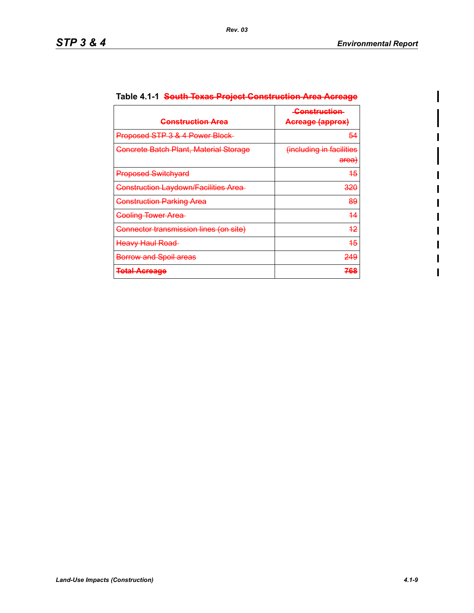$\mathbf l$ 

| <del>Construction Area</del>                | <b>Construction</b><br>Acreage (approx)      |  |
|---------------------------------------------|----------------------------------------------|--|
| Proposed STP 3 & 4 Power Block              | 54                                           |  |
| Concrete Batch Plant, Material Storage      | (including in facilities<br><del>area)</del> |  |
| <b>Proposed Switchyard</b>                  | <del>15</del>                                |  |
| <b>Construction Laydown/Facilities Area</b> | <del>320</del>                               |  |
| <b>Construction Parking Area</b>            | 89                                           |  |
| <b>Cooling Tower Area</b>                   | 44                                           |  |
| Connector transmission lines (on site)      | <del>12</del>                                |  |
| <b>Heavy Haul Road</b>                      | 45                                           |  |
| <b>Borrow and Spoil areas</b>               | 249                                          |  |
| <b>Total Acreage</b>                        | 768                                          |  |

# **Table 4.1-1 South Texas Project Construction Area Acreage**